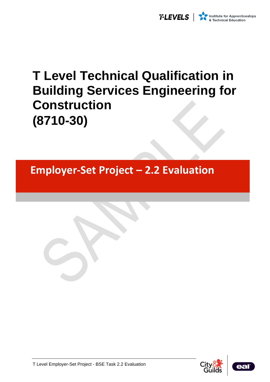

# **T Level Technical Qualification in Building Services Engineering for Construction (8710-30)**

**Employer-Set Project – 2.2 Evaluation** 





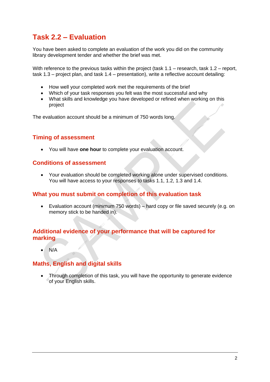## **Task 2.2 – Evaluation**

You have been asked to complete an evaluation of the work you did on the community library development tender and whether the brief was met.

With reference to the previous tasks within the project (task  $1.1$  – research, task  $1.2$  – report, task 1.3 – project plan, and task 1.4 – presentation), write a reflective account detailing:

- How well your completed work met the requirements of the brief
- Which of your task responses you felt was the most successful and why
- What skills and knowledge you have developed or refined when working on this project

The evaluation account should be a minimum of 750 words long.

### **Timing of assessment**

• You will have **one hour** to complete your evaluation account.

#### **Conditions of assessment**

• Your evaluation should be completed working alone under supervised conditions. You will have access to your responses to tasks 1.1, 1.2, 1.3 and 1.4.

#### **What you must submit on completion of this evaluation task**

• Evaluation account (minimum 750 words) – hard copy or file saved securely (e.g. on memory stick to be handed in).

#### **Additional evidence of your performance that will be captured for marking**

 $N/A$ 

#### **Maths, English and digital skills**

• Through completion of this task, you will have the opportunity to generate evidence of your English skills.